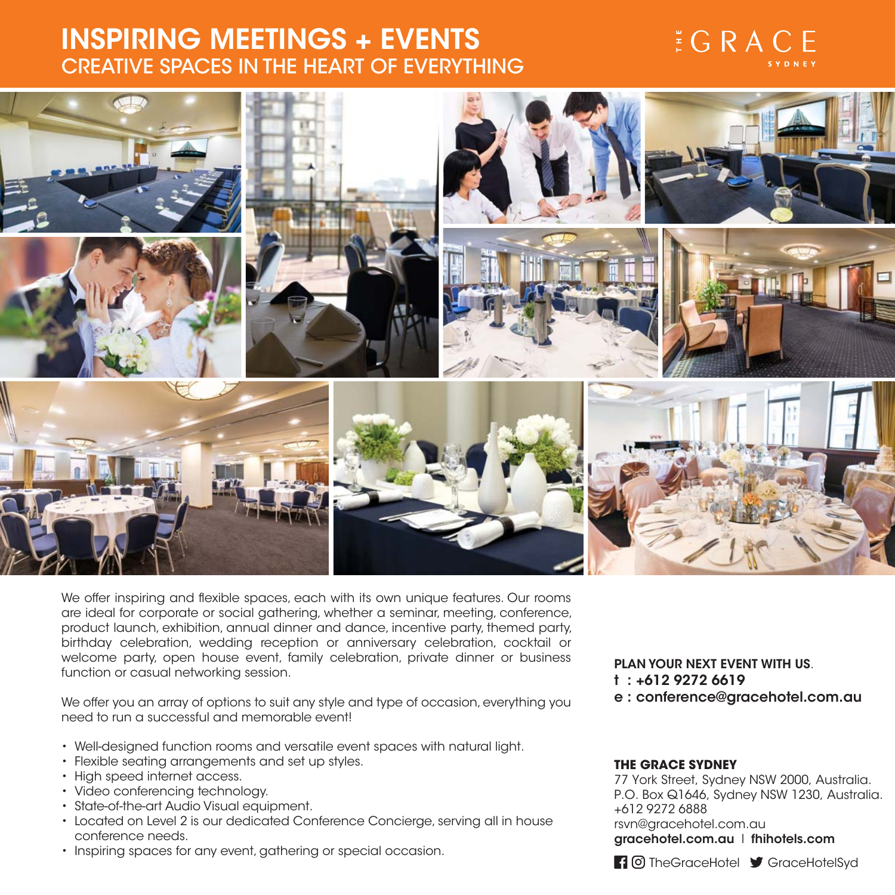# **CREATIVE SPACES IN THE HEART OF EVERYTHING**

## $E G R AC E$



We offer inspiring and flexible spaces, each with its own unique features. Our rooms are ideal for corporate or social gathering, whether a seminar, meeting, conference, product launch, exhibition, annual dinner and dance, incentive party, themed party, birthday celebration, wedding reception or anniversary celebration, cocktail or welcome party, open house event, family celebration, private dinner or business function or casual networking session.

We offer you an array of options to suit any style and type of occasion, everything you need to run a successful and memorable event!

- Well-designed function rooms and versatile event spaces with natural light.
- Flexible seating arrangements and set up styles.
- High speed internet access.
- Video conferencing technology.
- State-of-the-art Audio Visual equipment.
- Located on Level 2 is our dedicated Conference Concierge, serving all in house conference needs.
- Inspiring spaces for any event, gathering or special occasion.

**PLAN YOUR NEXT EVENT WITH US**.  $e$  : conference@gracehotel.com.au **e : conference@gracehotel.com.au**

#### **THE GRACE SYDNEY**

77 York Street, Sydney NSW 2000, Australia. P.O. Box Q1646, Sydney NSW 1230, Australia. +612 9272 6888 rsvn@gracehotel.com.au **gracehotel.com.au** l **fhihotels.com**

Ti O TheGraceHotel St GraceHotelSyd